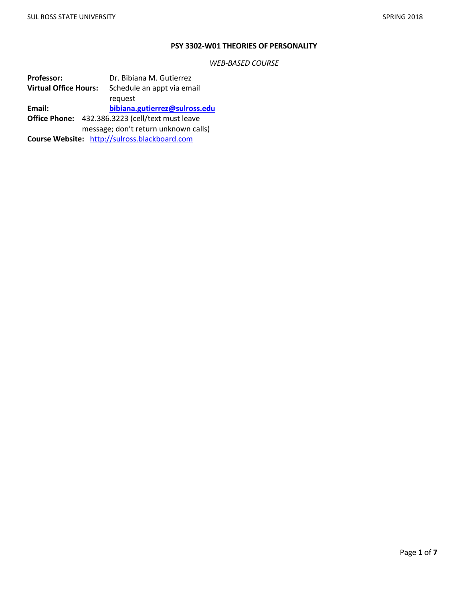### **PSY 3302-W01 THEORIES OF PERSONALITY**

*WEB-BASED COURSE*

Professor: Dr. Bibiana M. Gutierrez **Virtual Office Hours:** Schedule an appt via email request **Email: [bibiana.gutierrez@sulross.edu](mailto:bibiana.gutierrez@sulross.edu) Office Phone:** 432.386.3223 (cell/text must leave message; don't return unknown calls) **Course Website:** [http://sulross.blackboard.com](http://sulross.blackboard.com/)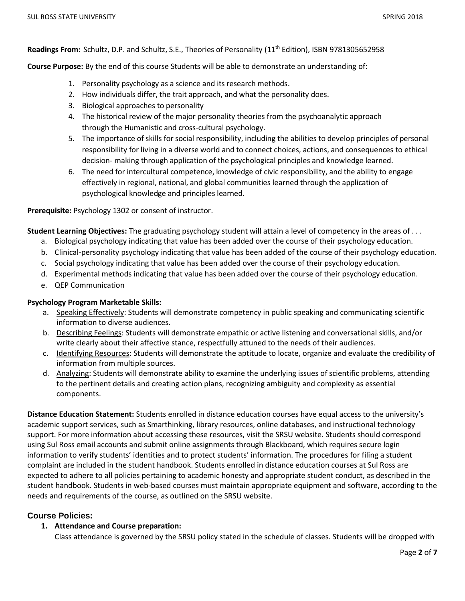**Readings From:** Schultz, D.P. and Schultz, S.E., Theories of Personality (11th Edition), ISBN 9781305652958

**Course Purpose:** By the end of this course Students will be able to demonstrate an understanding of:

- 1. Personality psychology as a science and its research methods.
- 2. How individuals differ, the trait approach, and what the personality does.
- 3. Biological approaches to personality
- 4. The historical review of the major personality theories from the psychoanalytic approach through the Humanistic and cross-cultural psychology.
- 5. The importance of skills for social responsibility, including the abilities to develop principles of personal responsibility for living in a diverse world and to connect choices, actions, and consequences to ethical decision- making through application of the psychological principles and knowledge learned.
- 6. The need for intercultural competence, knowledge of civic responsibility, and the ability to engage effectively in regional, national, and global communities learned through the application of psychological knowledge and principles learned.

**Prerequisite:** Psychology 1302 or consent of instructor.

**Student Learning Objectives:** The graduating psychology student will attain a level of competency in the areas of . . .

- a. Biological psychology indicating that value has been added over the course of their psychology education.
- b. Clinical-personality psychology indicating that value has been added of the course of their psychology education.
- c. Social psychology indicating that value has been added over the course of their psychology education.
- d. Experimental methods indicating that value has been added over the course of their psychology education.
- e. QEP Communication

#### **Psychology Program Marketable Skills:**

- a. Speaking Effectively: Students will demonstrate competency in public speaking and communicating scientific information to diverse audiences.
- b. Describing Feelings: Students will demonstrate empathic or active listening and conversational skills, and/or write clearly about their affective stance, respectfully attuned to the needs of their audiences.
- c. Identifying Resources: Students will demonstrate the aptitude to locate, organize and evaluate the credibility of information from multiple sources.
- d. Analyzing: Students will demonstrate ability to examine the underlying issues of scientific problems, attending to the pertinent details and creating action plans, recognizing ambiguity and complexity as essential components.

**Distance Education Statement:** Students enrolled in distance education courses have equal access to the university's academic support services, such as Smarthinking, library resources, online databases, and instructional technology support. For more information about accessing these resources, visit the SRSU website. Students should correspond using Sul Ross email accounts and submit online assignments through Blackboard, which requires secure login information to verify students' identities and to protect students' information. The procedures for filing a student complaint are included in the student handbook. Students enrolled in distance education courses at Sul Ross are expected to adhere to all policies pertaining to academic honesty and appropriate student conduct, as described in the student handbook. Students in web-based courses must maintain appropriate equipment and software, according to the needs and requirements of the course, as outlined on the SRSU website.

### **Course Policies:**

### **1. Attendance and Course preparation:**

Class attendance is governed by the SRSU policy stated in the schedule of classes. Students will be dropped with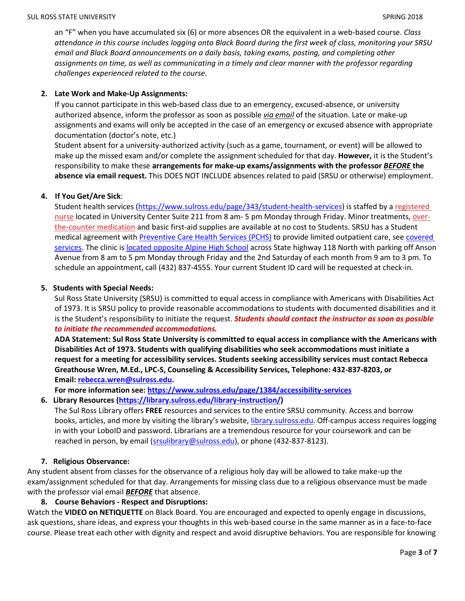an "F" when you have accumulated six (6) or more absences OR the equivalent in a web-based course. *Class attendance in this course includes logging onto Black Board during the first week of class, monitoring your SRSU email and Black Board announcements on a daily basis, taking exams, posting, and completing other assignments on time, as well as communicating in a timely and clear manner with the professor regarding challenges experienced related to the course.*

### **2. Late Work and Make-Up Assignments:**

If you cannot participate in this web-based class due to an emergency, excused-absence, or university authorized absence, inform the professor as soon as possible *via email* of the situation. Late or make-up assignments and exams will only be accepted in the case of an emergency or excused absence with appropriate documentation (doctor's note, etc.)

Student absent for a university-authorized activity (such as a game, tournament, or event) will be allowed to make up the missed exam and/or complete the assignment scheduled for that day. **However,** it is the Student's responsibility to make these **arrangements for make-up exams/assignments with the professor** *BEFORE* **the absence via email request.** This DOES NOT INCLUDE absences related to paid (SRSU or otherwise) employment.

#### **4. If You Get/Are Sick**:

Student health services [\(https://www.sulross.edu/page/343/student-health-services\)](https://www.sulross.edu/page/343/student-health-services) is staffed by a [registered](https://www.sulross.edu/faculty-and-staff/945/health-services-coordinator)  [nurse](https://www.sulross.edu/faculty-and-staff/945/health-services-coordinator) located in University Center Suite 211 from 8 am- 5 pm Monday through Friday. Minor treatments, [over](http://www.sulross.edu/page/1462/medications)[the-counter medication](http://www.sulross.edu/page/1462/medications) and basic first-aid supplies are available at no cost to Students. SRSU has a Student medical agreement with [Preventive Care Health Services \(PCHS\)](http://www.pchsmedclinic.org/locations) to provide limited outpatient care, see covered [services.](http://www.sulross.edu/page/1471/preventive-care-health-services) The clinic is [located opposite Alpine High School](http://www.sulross.edu/gallery-image/4341/health-service-locations) across State highway 118 North with parking off Anson Avenue from 8 am to 5 pm Monday through Friday and the 2nd Saturday of each month from 9 am to 3 pm. To schedule an appointment, call (432) 837-4555. Your current Student ID card will be requested at check-in.

#### **5. Students with Special Needs:**

Sul Ross State University (SRSU) is committed to equal access in compliance with Americans with Disabilities Act of 1973. It is SRSU policy to provide reasonable accommodations to students with documented disabilities and it is the Student's responsibility to initiate the request. *Students should contact the instructor as soon as possible to initiate the recommended accommodations.*

**ADA Statement: Sul Ross State University is committed to equal access in compliance with the Americans with Disabilities Act of 1973. Students with qualifying disabilities who seek accommodations must initiate a request for a meeting for accessibility services. Students seeking accessibility services must contact Rebecca Greathouse Wren, M.Ed., LPC-S, Counseling & Accessibility Services, Telephone: 432-837-8203, or Email: [rebecca.wren@sulross.edu.](mailto:rebecca.wren@sulross.edu)**

### **For more information see: <https://www.sulross.edu/page/1384/accessibility-services>**

### **6. Library Resources [\(https://library.sulross.edu/library-instruction/\)](https://library.sulross.edu/library-instruction/)**

The Sul Ross Library offers **FREE** resources and services to the entire SRSU community. Access and borrow books, articles, and more by visiting the library's website, [library.sulross.edu.](https://library.sulross.edu/) Off-campus access requires logging in with your LoboID and password. Librarians are a tremendous resource for your coursework and can be reached in person, by email [\(srsulibrary@sulross.edu\)](mailto:srsulibrary@sulross.edu), or phone (432-837-8123).

#### **7. Religious Observance:**

Any student absent from classes for the observance of a religious holy day will be allowed to take make-up the exam/assignment scheduled for that day. Arrangements for missing class due to a religious observance must be made with the professor vial email *BEFORE* that absence.

### **8. Course Behaviors - Respect and Disruptions:**

Watch the **VIDEO on NETIQUETTE** on Black Board. You are encouraged and expected to openly engage in discussions, ask questions, share ideas, and express your thoughts in this web-based course in the same manner as in a face-to-face course. Please treat each other with dignity and respect and avoid disruptive behaviors. You are responsible for knowing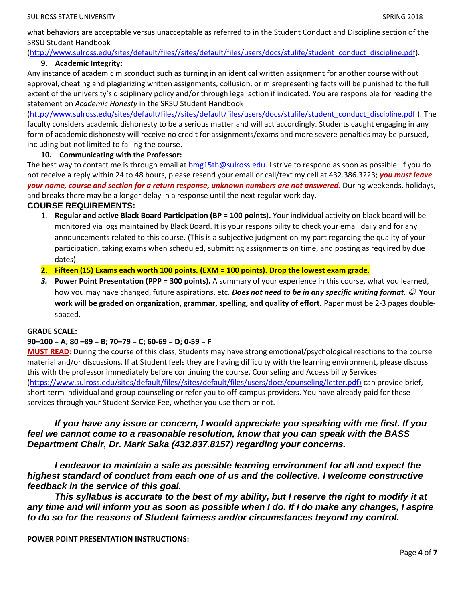what behaviors are acceptable versus unacceptable as referred to in the Student Conduct and Discipline section of the SRSU Student Handbook

### [\(http://www.sulross.edu/sites/default/files//sites/default/files/users/docs/stulife/student\\_conduct\\_discipline.pdf\)](http://www.sulross.edu/sites/default/files/sites/default/files/users/docs/stulife/student_conduct_discipline.pdf). **9. Academic Integrity:**

Any instance of academic misconduct such as turning in an identical written assignment for another course without approval, cheating and plagiarizing written assignments, collusion, or misrepresenting facts will be punished to the full extent of the university's disciplinary policy and/or through legal action if indicated. You are responsible for reading the statement on *Academic Honesty* in the SRSU Student Handbook

[\(http://www.sulross.edu/sites/default/files//sites/default/files/users/docs/stulife/student\\_conduct\\_discipline.pdf](http://www.sulross.edu/sites/default/files/sites/default/files/users/docs/stulife/student_conduct_discipline.pdf) ). The faculty considers academic dishonesty to be a serious matter and will act accordingly. Students caught engaging in any form of academic dishonesty will receive no credit for assignments/exams and more severe penalties may be pursued, including but not limited to failing the course.

## **10. Communicating with the Professor:**

The best way to contact me is through email at **bmg15th@sulross.edu.** I strive to respond as soon as possible. If you do not receive a reply within 24 to 48 hours, please resend your email or call/text my cell at 432.386.3223; *you must leave your name, course and section for a return response, unknown numbers are not answered.* During weekends, holidays, and breaks there may be a longer delay in a response until the next regular work day.

## **COURSE REQUIREMENTS:**

- 1. **Regular and active Black Board Participation (BP = 100 points).** Your individual activity on black board will be monitored via logs maintained by Black Board. It is your responsibility to check your email daily and for any announcements related to this course. (This is a subjective judgment on my part regarding the quality of your participation, taking exams when scheduled, submitting assignments on time, and posting as required by due dates).
- **2. Fifteen (15) Exams each worth 100 points. (EXM = 100 points). Drop the lowest exam grade.**
- *3.* **Power Point Presentation (PPP = 300 points).** A summary of your experience in this course, what you learned, how you may have changed, future aspirations, etc. **Does not need to be in any specific writing format.** © Your **work will be graded on organization, grammar, spelling, and quality of effort.** Paper must be 2-3 pages doublespaced.

### **GRADE SCALE:**

### **90–100 = A; 80 –89 = B; 70–79 = C; 60-69 = D; 0-59 = F**

**MUST READ:** During the course of this class, Students may have strong emotional/psychological reactions to the course material and/or discussions. If at Student feels they are having difficulty with the learning environment, please discuss this with the professor immediately before continuing the course. Counseling and Accessibility Services [\(https://www.sulross.edu/sites/default/files//sites/default/files/users/docs/counseling/letter.pdf\)](https://www.sulross.edu/sites/default/files/sites/default/files/users/docs/counseling/letter.pdf) can provide brief, short-term individual and group counseling or refer you to off-campus providers. You have already paid for these services through your Student Service Fee, whether you use them or not.

# *If you have any issue or concern, I would appreciate you speaking with me first. If you feel we cannot come to a reasonable resolution, know that you can speak with the BASS Department Chair, Dr. Mark Saka (432.837.8157) regarding your concerns.*

*I endeavor to maintain a safe as possible learning environment for all and expect the highest standard of conduct from each one of us and the collective. I welcome constructive feedback in the service of this goal.*

*This syllabus is accurate to the best of my ability, but I reserve the right to modify it at any time and will inform you as soon as possible when I do. If I do make any changes, I aspire to do so for the reasons of Student fairness and/or circumstances beyond my control.*

**POWER POINT PRESENTATION INSTRUCTIONS:**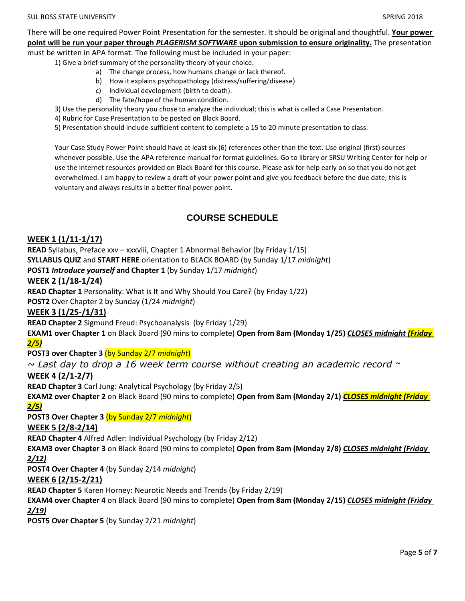There will be one required Power Point Presentation for the semester. It should be original and thoughtful. **Your power point will be run your paper through** *PLAGERISM SOFTWARE* **upon submission to ensure originality.** The presentation must be written in APA format. The following must be included in your paper:

1) Give a brief summary of the personality theory of your choice.

- a) The change process, how humans change or lack thereof.
	- b) How it explains psychopathology (distress/suffering/disease)
- c) Individual development (birth to death).
- d) The fate/hope of the human condition.
- 3) Use the personality theory you chose to analyze the individual; this is what is called a Case Presentation.
- 4) Rubric for Case Presentation to be posted on Black Board.
- 5) Presentation should include sufficient content to complete a 15 to 20 minute presentation to class.

Your Case Study Power Point should have at least six (6) references other than the text. Use original (first) sources whenever possible. Use the APA reference manual for format guidelines. Go to library or SRSU Writing Center for help or use the internet resources provided on Black Board for this course. Please ask for help early on so that you do not get overwhelmed. I am happy to review a draft of your power point and give you feedback before the due date; this is voluntary and always results in a better final power point.

# **COURSE SCHEDULE**

# **WEEK 1 (1/11-1/17)**

**READ** Syllabus, Preface xxv – xxxviii, Chapter 1 Abnormal Behavior (by Friday 1/15) **SYLLABUS QUIZ** and **START HERE** orientation to BLACK BOARD (by Sunday 1/17 *midnight*) **POST1** *Introduce yourself* **and Chapter 1** (by Sunday 1/17 *midnight*)

### **WEEK 2 (1/18-1/24)**

**READ Chapter 1** Personality: What is It and Why Should You Care? (by Friday 1/22)

**POST2** Over Chapter 2 by Sunday (1/24 *midnight*)

### **WEEK 3 (1/25-/1/31)**

**READ Chapter 2** Sigmund Freud: Psychoanalysis (by Friday 1/29)

**EXAM1 over Chapter 1** on Black Board (90 mins to complete) **Open from 8am (Monday 1/25)** *CLOSES midnight (Friday 2/5)*

**POST3 over Chapter 3** (by Sunday 2/7 *midnight*)

*~ Last day to drop a 16 week term course without creating an academic record ~*

## **WEEK 4 (2/1-2/7)**

**READ Chapter 3** Carl Jung: Analytical Psychology (by Friday 2/5)

**EXAM2 over Chapter 2** on Black Board (90 mins to complete) **Open from 8am (Monday 2/1)** *CLOSES midnight (Friday 2/5)*

**POST3 Over Chapter 3** (by Sunday 2/7 *midnight*)

### **WEEK 5 (2/8-2/14)**

**READ Chapter 4** Alfred Adler: Individual Psychology (by Friday 2/12)

**EXAM3 over Chapter 3** on Black Board (90 mins to complete) **Open from 8am (Monday 2/8)** *CLOSES midnight (Friday 2/12)*

**POST4 Over Chapter 4** (by Sunday 2/14 *midnight*)

### **WEEK 6 (2/15-2/21)**

**READ Chapter 5** Karen Horney: Neurotic Needs and Trends (by Friday 2/19)

**EXAM4 over Chapter 4** on Black Board (90 mins to complete) **Open from 8am (Monday 2/15)** *CLOSES midnight (Friday 2/19)*

**POST5 Over Chapter 5** (by Sunday 2/21 *midnight*)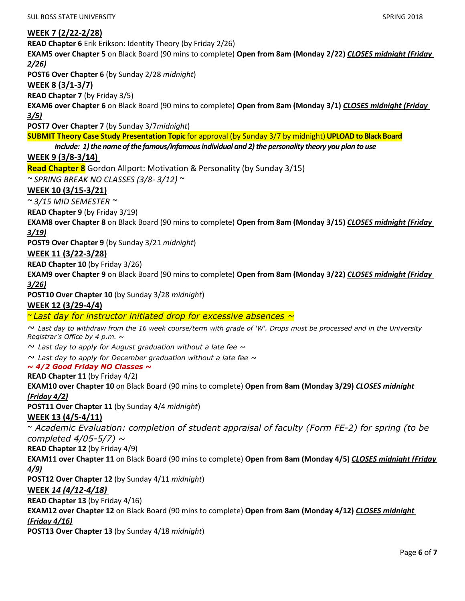# **WEEK 7 (2/22-2/28)**

**READ Chapter 6** Erik Erikson: Identity Theory (by Friday 2/26)

**EXAM5 over Chapter 5** on Black Board (90 mins to complete) **Open from 8am (Monday 2/22)** *CLOSES midnight (Friday 2/26)*

**POST6 Over Chapter 6** (by Sunday 2/28 *midnight*)

## **WEEK 8 (3/1-3/7)**

**READ Chapter 7** (by Friday 3/5)

**EXAM6 over Chapter 6** on Black Board (90 mins to complete) **Open from 8am (Monday 3/1)** *CLOSES midnight (Friday 3/5)*

**POST7 Over Chapter 7** (by Sunday 3/7*midnight*)

**SUBMIT Theory Case Study Presentation Topic** for approval (by Sunday 3/7 by midnight) **UPLOAD to Black Board**

# *Include: 1) the name of the famous/infamous individual and 2) the personality theory you plan to use*

## **WEEK 9 (3/8-3/14)**

**Read Chapter 8** Gordon Allport: Motivation & Personality (by Sunday 3/15)

*~ SPRING BREAK NO CLASSES (3/8- 3/12) ~*

# **WEEK 10 (3/15-3/21)**

*~ 3/15 MID SEMESTER ~*

**READ Chapter 9** (by Friday 3/19)

**EXAM8 over Chapter 8** on Black Board (90 mins to complete) **Open from 8am (Monday 3/15)** *CLOSES midnight (Friday 3/19)*

**POST9 Over Chapter 9** (by Sunday 3/21 *midnight*)

### **WEEK 11 (3/22-3/28)**

**READ Chapter 10** (by Friday 3/26)

**EXAM9 over Chapter 9** on Black Board (90 mins to complete) **Open from 8am (Monday 3/22)** *CLOSES midnight (Friday 3/26)*

**POST10 Over Chapter 10** (by Sunday 3/28 *midnight*)

### **WEEK 12 (3/29-4/4)**

*~ Last day for instructor initiated drop for excessive absences ~*

*~ Last day to withdraw from the 16 week course/term with grade of 'W'. Drops must be processed and in the University Registrar's Office by 4 p.m. ~*

*~ Last day to apply for August graduation without a late fee ~*

*~ Last day to apply for December graduation without a late fee ~*

#### *~ 4/2 Good Friday NO Classes ~*

#### **READ Chapter 11** (by Friday 4/2)

**EXAM10 over Chapter 10** on Black Board (90 mins to complete) **Open from 8am (Monday 3/29)** *CLOSES midnight (Friday 4/2)*

**POST11 Over Chapter 11** (by Sunday 4/4 *midnight*)

### **WEEK 13 (4/5-4/11)**

*~ Academic Evaluation: completion of student appraisal of faculty (Form FE-2) for spring (to be completed 4/05-5/7) ~*

**READ Chapter 12** (by Friday 4/9)

**EXAM11 over Chapter 11** on Black Board (90 mins to complete) **Open from 8am (Monday 4/5)** *CLOSES midnight (Friday 4/9)*

**POST12 Over Chapter 12** (by Sunday 4/11 *midnight*)

### **WEEK** *14 (4/12-4/18)*

**READ Chapter 13** (by Friday 4/16)

**EXAM12 over Chapter 12** on Black Board (90 mins to complete) **Open from 8am (Monday 4/12)** *CLOSES midnight* 

# *(Friday 4/16)*

**POST13 Over Chapter 13** (by Sunday 4/18 *midnight*)